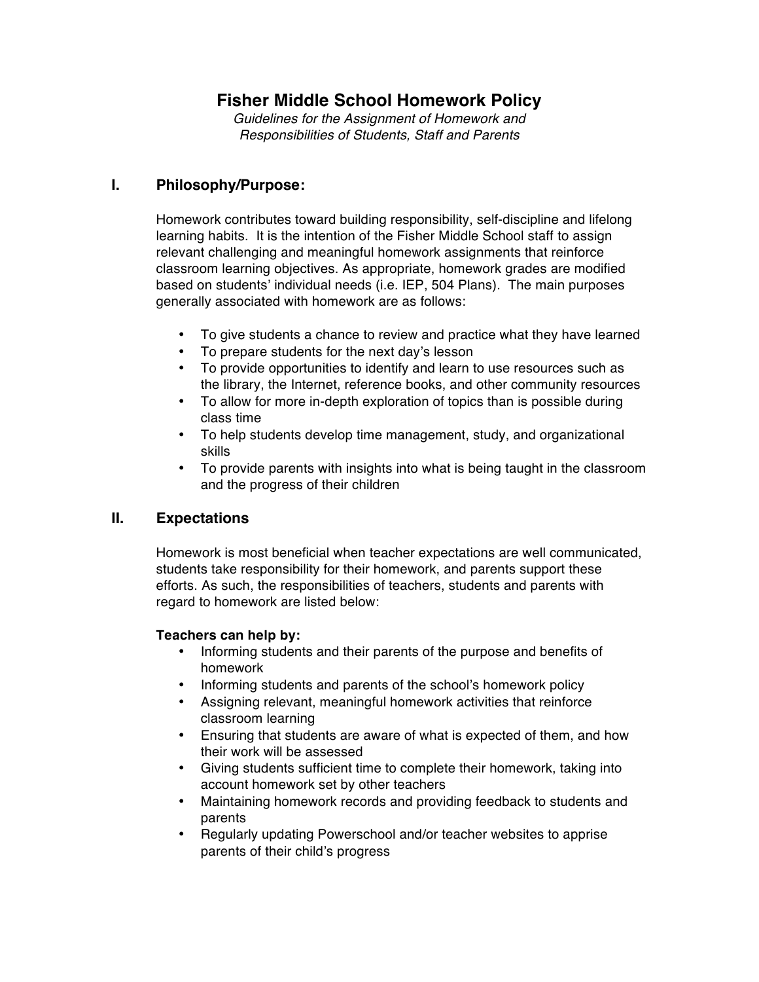# **Fisher Middle School Homework Policy**

*Guidelines for the Assignment of Homework and Responsibilities of Students, Staff and Parents*

### **I. Philosophy/Purpose:**

Homework contributes toward building responsibility, self-discipline and lifelong learning habits. It is the intention of the Fisher Middle School staff to assign relevant challenging and meaningful homework assignments that reinforce classroom learning objectives. As appropriate, homework grades are modified based on students' individual needs (i.e. IEP, 504 Plans). The main purposes generally associated with homework are as follows:

- To give students a chance to review and practice what they have learned
- To prepare students for the next day's lesson
- To provide opportunities to identify and learn to use resources such as the library, the Internet, reference books, and other community resources
- To allow for more in-depth exploration of topics than is possible during class time
- To help students develop time management, study, and organizational skills
- To provide parents with insights into what is being taught in the classroom and the progress of their children

## **II. Expectations**

Homework is most beneficial when teacher expectations are well communicated, students take responsibility for their homework, and parents support these efforts. As such, the responsibilities of teachers, students and parents with regard to homework are listed below:

#### **Teachers can help by:**

- Informing students and their parents of the purpose and benefits of homework
- 
- Informing students and parents of the school's homework policy<br>• Assianing relevant. meaningful homework activities that reinforce • Assigning relevant, meaningful homework activities that reinforce classroom learning
- Ensuring that students are aware of what is expected of them, and how their work will be assessed
- Giving students sufficient time to complete their homework, taking into account homework set by other teachers
- Maintaining homework records and providing feedback to students and parents
- Regularly updating Powerschool and/or teacher websites to apprise parents of their child's progress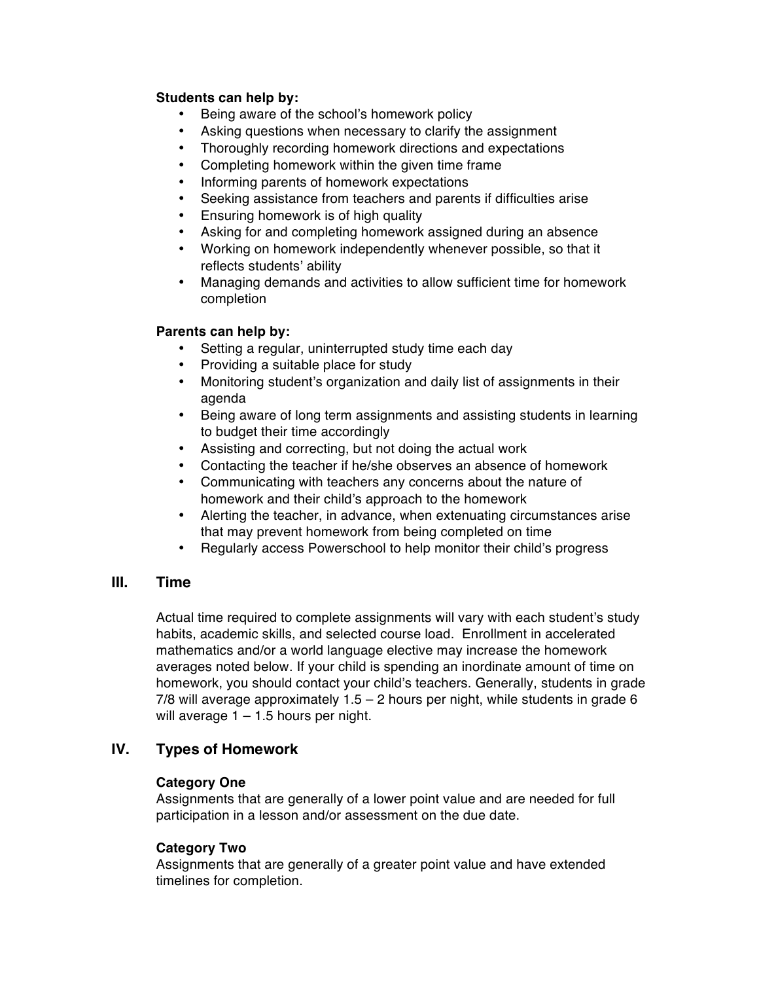#### **Students can help by:**

- Being aware of the school's homework policy
- Asking questions when necessary to clarify the assignment
- Thoroughly recording homework directions and expectations
- Completing homework within the given time frame
- Informing parents of homework expectations
- Seeking assistance from teachers and parents if difficulties arise
- Ensuring homework is of high quality
- Asking for and completing homework assigned during an absence
- Working on homework independently whenever possible, so that it reflects students' ability
- Managing demands and activities to allow sufficient time for homework completion

#### **Parents can help by:**

- Setting a regular, uninterrupted study time each day
- Providing a suitable place for study
- Monitoring student's organization and daily list of assignments in their agenda
- Being aware of long term assignments and assisting students in learning to budget their time accordingly
- Assisting and correcting, but not doing the actual work
- Contacting the teacher if he/she observes an absence of homework
- Communicating with teachers any concerns about the nature of homework and their child's approach to the homework
- Alerting the teacher, in advance, when extenuating circumstances arise that may prevent homework from being completed on time
- Regularly access Powerschool to help monitor their child's progress

### **III. Time**

Actual time required to complete assignments will vary with each student's study habits, academic skills, and selected course load. Enrollment in accelerated mathematics and/or a world language elective may increase the homework averages noted below. If your child is spending an inordinate amount of time on homework, you should contact your child's teachers. Generally, students in grade 7/8 will average approximately  $1.5 - 2$  hours per night, while students in grade 6 will average  $1 - 1.5$  hours per night.

### **IV. Types of Homework**

#### **Category One**

Assignments that are generally of a lower point value and are needed for full participation in a lesson and/or assessment on the due date.

#### **Category Two**

Assignments that are generally of a greater point value and have extended timelines for completion.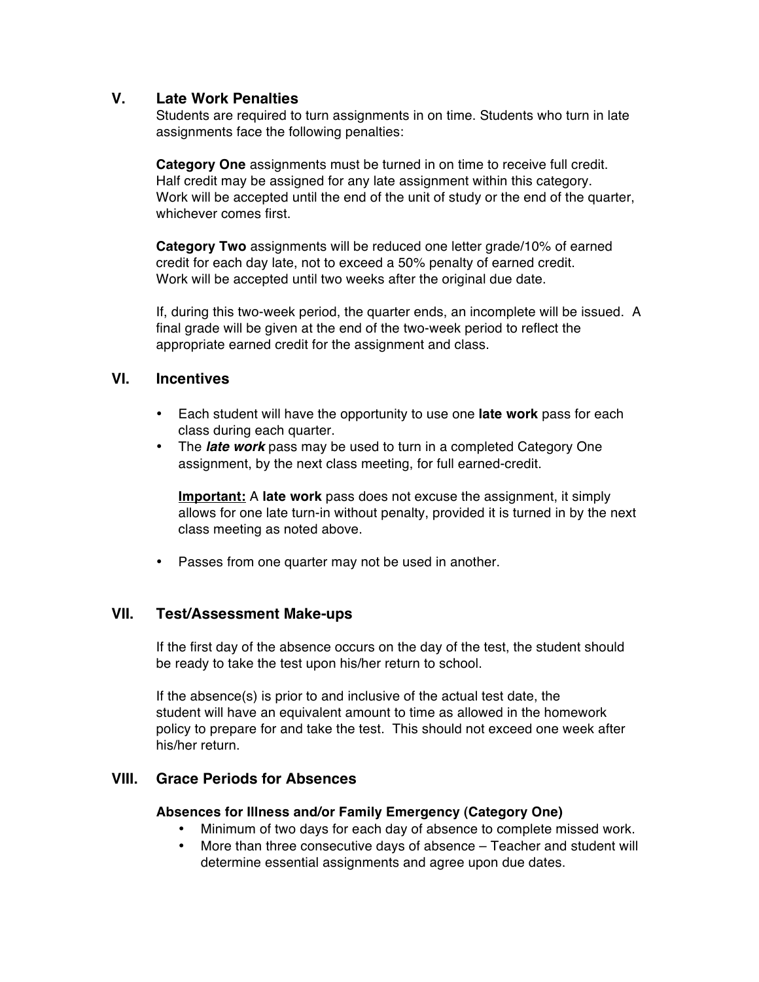### **V. Late Work Penalties**

Students are required to turn assignments in on time. Students who turn in late assignments face the following penalties:

**Category One** assignments must be turned in on time to receive full credit. Half credit may be assigned for any late assignment within this category. Work will be accepted until the end of the unit of study or the end of the quarter, whichever comes first.

**Category Two** assignments will be reduced one letter grade/10% of earned credit for each day late, not to exceed a 50% penalty of earned credit. Work will be accepted until two weeks after the original due date.

If, during this two-week period, the quarter ends, an incomplete will be issued. A final grade will be given at the end of the two-week period to reflect the appropriate earned credit for the assignment and class.

### **VI. Incentives**

- Each student will have the opportunity to use one **late work** pass for each class during each quarter.
- The *late work* pass may be used to turn in a completed Category One assignment, by the next class meeting, for full earned-credit.

**Important:** A **late work** pass does not excuse the assignment, it simply allows for one late turn-in without penalty, provided it is turned in by the next class meeting as noted above.

• Passes from one quarter may not be used in another.

### **VII. Test/Assessment Make-ups**

If the first day of the absence occurs on the day of the test, the student should be ready to take the test upon his/her return to school.

If the absence(s) is prior to and inclusive of the actual test date, the student will have an equivalent amount to time as allowed in the homework policy to prepare for and take the test. This should not exceed one week after his/her return.

### **VIII. Grace Periods for Absences**

#### **Absences for Illness and/or Family Emergency (Category One)**

- Minimum of two days for each day of absence to complete missed work.
- More than three consecutive days of absence Teacher and student will determine essential assignments and agree upon due dates.